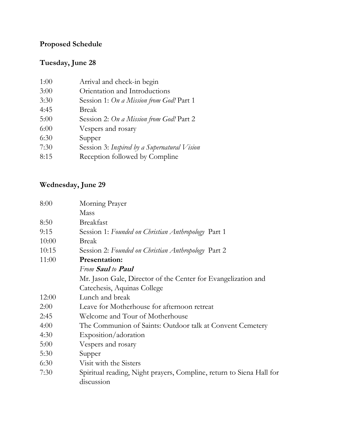# **Proposed Schedule**

# **Tuesday, June 28**

| 1:00 | Arrival and check-in begin                   |
|------|----------------------------------------------|
| 3:00 | Orientation and Introductions                |
| 3:30 | Session 1: On a Mission from God! Part 1     |
| 4:45 | Break                                        |
| 5:00 | Session 2: On a Mission from God! Part 2     |
| 6:00 | Vespers and rosary                           |
| 6:30 | Supper                                       |
| 7:30 | Session 3: Inspired by a Supernatural Vision |
| 8:15 | Reception followed by Compline               |
|      |                                              |

# **Wednesday, June 29**

| 8:00  | Morning Prayer                                                                     |
|-------|------------------------------------------------------------------------------------|
|       | Mass                                                                               |
| 8:50  | <b>Breakfast</b>                                                                   |
| 9:15  | Session 1: Founded on Christian Anthropology Part 1                                |
| 10:00 | <b>Break</b>                                                                       |
| 10:15 | Session 2: Founded on Christian Anthropology Part 2                                |
| 11:00 | <b>Presentation:</b>                                                               |
|       | From Saul to Paul                                                                  |
|       | Mr. Jason Gale, Director of the Center for Evangelization and                      |
|       | Catechesis, Aquinas College                                                        |
| 12:00 | Lunch and break                                                                    |
| 2:00  | Leave for Motherhouse for afternoon retreat                                        |
| 2:45  | Welcome and Tour of Motherhouse                                                    |
| 4:00  | The Communion of Saints: Outdoor talk at Convent Cemetery                          |
| 4:30  | Exposition/adoration                                                               |
| 5:00  | Vespers and rosary                                                                 |
| 5:30  | Supper                                                                             |
| 6:30  | Visit with the Sisters                                                             |
| 7:30  | Spiritual reading, Night prayers, Compline, return to Siena Hall for<br>discussion |